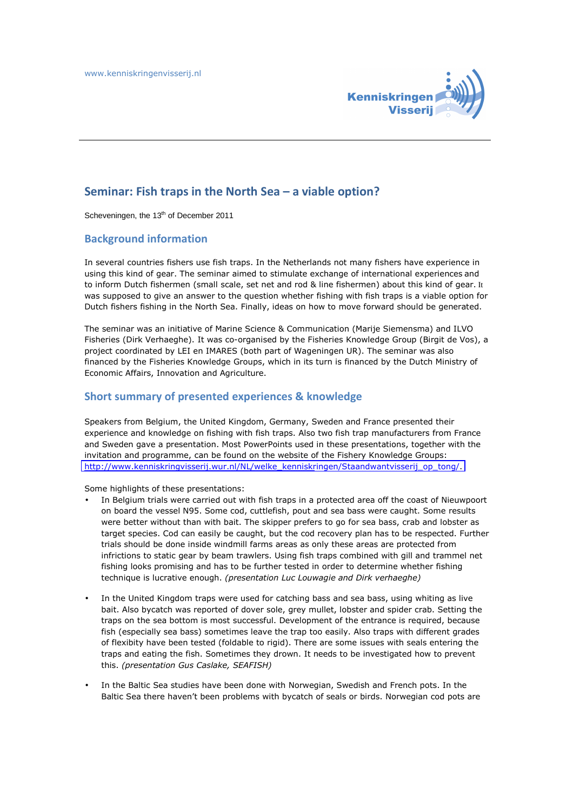

## **Seminar: Fish traps in the North Sea – a viable option?**

Scheveningen, the 13<sup>th</sup> of December 2011

#### **Background information**

In several countries fishers use fish traps. In the Netherlands not many fishers have experience in using this kind of gear. The seminar aimed to stimulate exchange of international experiences and to inform Dutch fishermen (small scale, set net and rod & line fishermen) about this kind of gear. It was supposed to give an answer to the question whether fishing with fish traps is a viable option for Dutch fishers fishing in the North Sea. Finally, ideas on how to move forward should be generated.

The seminar was an initiative of Marine Science & Communication (Marije Siemensma) and ILVO Fisheries (Dirk Verhaeghe). It was co-organised by the Fisheries Knowledge Group (Birgit de Vos), a project coordinated by LEI en IMARES (both part of Wageningen UR). The seminar was also financed by the Fisheries Knowledge Groups, which in its turn is financed by the Dutch Ministry of Economic Affairs, Innovation and Agriculture.

#### **Short summary of presented experiences & knowledge**

Speakers from Belgium, the United Kingdom, Germany, Sweden and France presented their experience and knowledge on fishing with fish traps. Also two fish trap manufacturers from France and Sweden gave a presentation. Most PowerPoints used in these presentations, together with the invitation and programme, can be found on the website of the Fishery Knowledge Groups: http://www.kenniskringvisserij.wur.nl/NL/[welke\\_kenniskringen/Staandwantvisserij\\_op\\_tong/](http://www.kenniskringvisserij.wur.nl/NL/welke_kenniskringen/Staandwantvisserij_op_tong/).

Some highlights of these presentations:

- In Belgium trials were carried out with fish traps in a protected area off the coast of Nieuwpoort on board the vessel N95. Some cod, cuttlefish, pout and sea bass were caught. Some results were better without than with bait. The skipper prefers to go for sea bass, crab and lobster as target species. Cod can easily be caught, but the cod recovery plan has to be respected. Further trials should be done inside windmill farms areas as only these areas are protected from infrictions to static gear by beam trawlers. Using fish traps combined with gill and trammel net fishing looks promising and has to be further tested in order to determine whether fishing technique is lucrative enough. *(presentation Luc Louwagie and Dirk verhaeghe)*
- In the United Kingdom traps were used for catching bass and sea bass, using whiting as live bait. Also bycatch was reported of dover sole, grey mullet, lobster and spider crab. Setting the traps on the sea bottom is most successful. Development of the entrance is required, because fish (especially sea bass) sometimes leave the trap too easily. Also traps with different grades of flexibity have been tested (foldable to rigid). There are some issues with seals entering the traps and eating the fish. Sometimes they drown. It needs to be investigated how to prevent this. *(presentation Gus Caslake, SEAFISH)*
- In the Baltic Sea studies have been done with Norwegian, Swedish and French pots. In the Baltic Sea there haven't been problems with bycatch of seals or birds. Norwegian cod pots are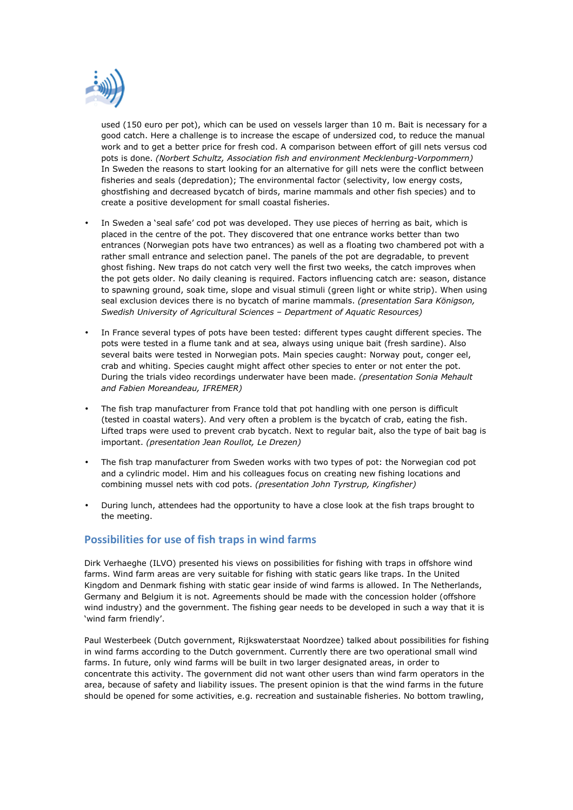

used (150 euro per pot), which can be used on vessels larger than 10 m. Bait is necessary for a good catch. Here a challenge is to increase the escape of undersized cod, to reduce the manual work and to get a better price for fresh cod. A comparison between effort of gill nets versus cod pots is done. *(Norbert Schultz, Association fish and environment Mecklenburg-Vorpommern)* In Sweden the reasons to start looking for an alternative for gill nets were the conflict between fisheries and seals (depredation); The environmental factor (selectivity, low energy costs, ghostfishing and decreased bycatch of birds, marine mammals and other fish species) and to create a positive development for small coastal fisheries.

- In Sweden a 'seal safe' cod pot was developed. They use pieces of herring as bait, which is placed in the centre of the pot. They discovered that one entrance works better than two entrances (Norwegian pots have two entrances) as well as a floating two chambered pot with a rather small entrance and selection panel. The panels of the pot are degradable, to prevent ghost fishing. New traps do not catch very well the first two weeks, the catch improves when the pot gets older. No daily cleaning is required. Factors influencing catch are: season, distance to spawning ground, soak time, slope and visual stimuli (green light or white strip). When using seal exclusion devices there is no bycatch of marine mammals. *(presentation Sara Königson, Swedish University of Agricultural Sciences – Department of Aquatic Resources)*
- In France several types of pots have been tested: different types caught different species. The pots were tested in a flume tank and at sea, always using unique bait (fresh sardine). Also several baits were tested in Norwegian pots. Main species caught: Norway pout, conger eel, crab and whiting. Species caught might affect other species to enter or not enter the pot. During the trials video recordings underwater have been made. *(presentation Sonia Mehault and Fabien Moreandeau, IFREMER)*
- The fish trap manufacturer from France told that pot handling with one person is difficult (tested in coastal waters). And very often a problem is the bycatch of crab, eating the fish. Lifted traps were used to prevent crab bycatch. Next to regular bait, also the type of bait bag is important. *(presentation Jean Roullot, Le Drezen)*
- The fish trap manufacturer from Sweden works with two types of pot: the Norwegian cod pot and a cylindric model. Him and his colleagues focus on creating new fishing locations and combining mussel nets with cod pots. *(presentation John Tyrstrup, Kingfisher)*
- During lunch, attendees had the opportunity to have a close look at the fish traps brought to the meeting.

### **Possibilities for use of fish traps in wind farms**

Dirk Verhaeghe (ILVO) presented his views on possibilities for fishing with traps in offshore wind farms. Wind farm areas are very suitable for fishing with static gears like traps. In the United Kingdom and Denmark fishing with static gear inside of wind farms is allowed. In The Netherlands, Germany and Belgium it is not. Agreements should be made with the concession holder (offshore wind industry) and the government. The fishing gear needs to be developed in such a way that it is 'wind farm friendly'.

Paul Westerbeek (Dutch government, Rijkswaterstaat Noordzee) talked about possibilities for fishing in wind farms according to the Dutch government. Currently there are two operational small wind farms. In future, only wind farms will be built in two larger designated areas, in order to concentrate this activity. The government did not want other users than wind farm operators in the area, because of safety and liability issues. The present opinion is that the wind farms in the future should be opened for some activities, e.g. recreation and sustainable fisheries. No bottom trawling,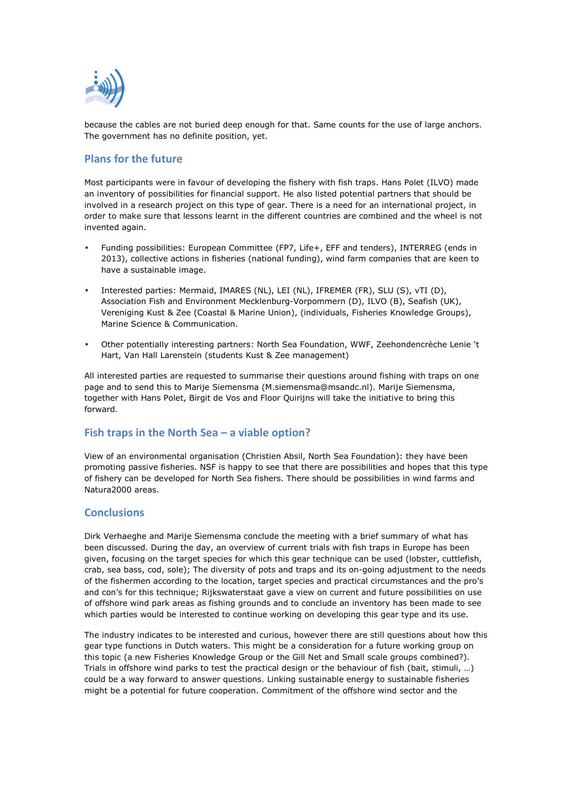

because the cables are not buried deep enough for that. Same counts for the use of large anchors. The government has no definite position, yet.

## **Plans for the future**

Most participants were in favour of developing the fishery with fish traps. Hans Polet (ILVO) made an inventory of possibilities for financial support. He also listed potential partners that should be involved in a research project on this type of gear. There is a need for an international project, in order to make sure that lessons learnt in the different countries are combined and the wheel is not invented again.

- Funding possibilities: European Committee (FP7, Life+, EFF and tenders), INTERREG (ends in 2013), collective actions in fisheries (national funding), wind farm companies that are keen to have a sustainable image.
- Interested parties: Mermaid, IMARES (NL), LEI (NL), IFREMER (FR), SLU (S), vTI (D), Association Fish and Environment Mecklenburg-Vorpommern (D), ILVO (B), Seafish (UK), Vereniging Kust & Zee (Coastal & Marine Union), (individuals, Fisheries Knowledge Groups), Marine Science & Communication.
- Other potentially interesting partners: North Sea Foundation, WWF, Zeehondencrèche Lenie 't Hart, Van Hall Larenstein (students Kust & Zee management)

All interested parties are requested to summarise their questions around fishing with traps on one page and to send this to Marije Siemensma (M.siemensma@msandc.nl). Marije Siemensma, together with Hans Polet, Birgit de Vos and Floor Quirijns will take the initiative to bring this forward.

# **Fish traps in the North Sea – a viable option?**

View of an environmental organisation (Christien Absil, North Sea Foundation): they have been promoting passive fisheries. NSF is happy to see that there are possibilities and hopes that this type of fishery can be developed for North Sea fishers. There should be possibilities in wind farms and Natura2000 areas.

### **Conclusions**

Dirk Verhaeghe and Marije Siemensma conclude the meeting with a brief summary of what has been discussed. During the day, an overview of current trials with fish traps in Europe has been given, focusing on the target species for which this gear technique can be used (lobster, cuttlefish, crab, sea bass, cod, sole); The diversity of pots and traps and its on-going adjustment to the needs of the fishermen according to the location, target species and practical circumstances and the pro's and con's for this technique; Rijkswaterstaat gave a view on current and future possibilities on use of offshore wind park areas as fishing grounds and to conclude an inventory has been made to see which parties would be interested to continue working on developing this gear type and its use.

The industry indicates to be interested and curious, however there are still questions about how this gear type functions in Dutch waters. This might be a consideration for a future working group on this topic (a new Fisheries Knowledge Group or the Gill Net and Small scale groups combined?). Trials in offshore wind parks to test the practical design or the behaviour of fish (bait, stimuli, …) could be a way forward to answer questions. Linking sustainable energy to sustainable fisheries might be a potential for future cooperation. Commitment of the offshore wind sector and the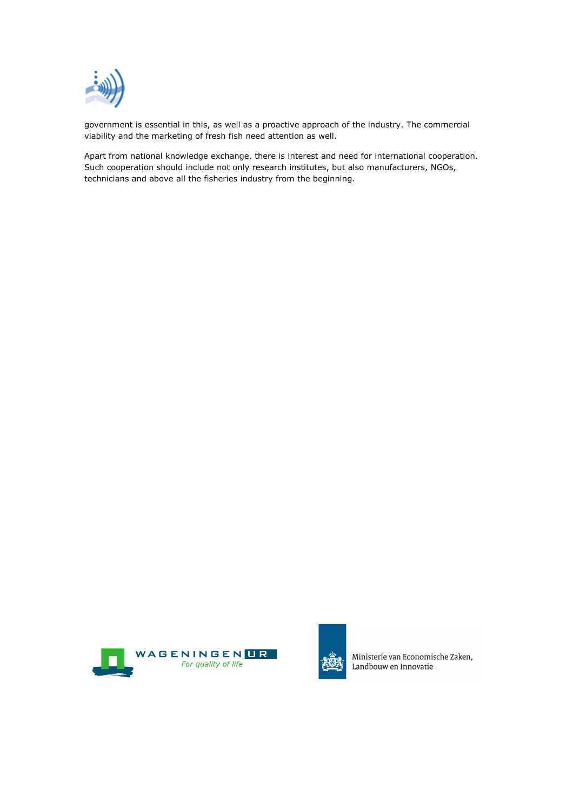

government is essential in this, as well as a proactive approach of the industry. The commercial viability and the marketing of fresh fish need attention as well.

Apart from national knowledge exchange, there is interest and need for international cooperation. Such cooperation should include not only research institutes, but also manufacturers, NGOs, technicians and above all the fisheries industry from the beginning.





Ministerie van Economische Zaken, Landbouw en Innovatie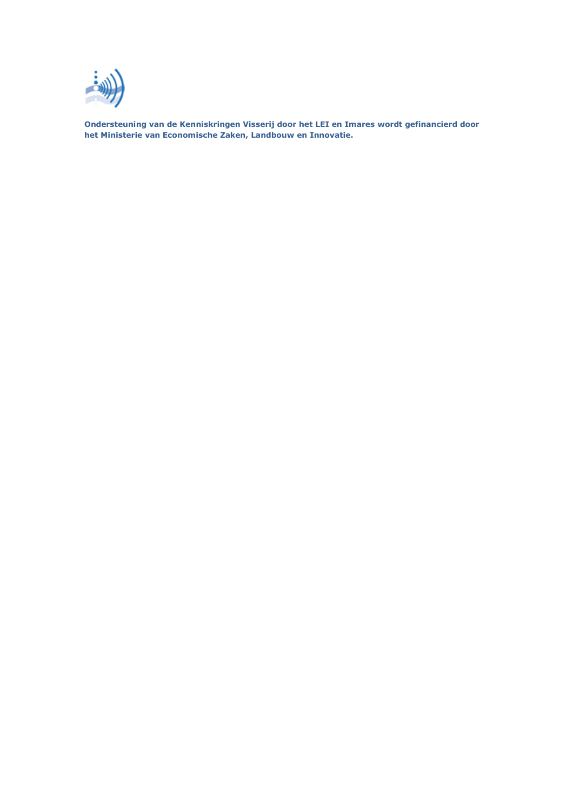

**Ondersteuning van de Kenniskringen Visserij door het LEI en Imares wordt gefinancierd door het Ministerie van Economische Zaken, Landbouw en Innovatie.**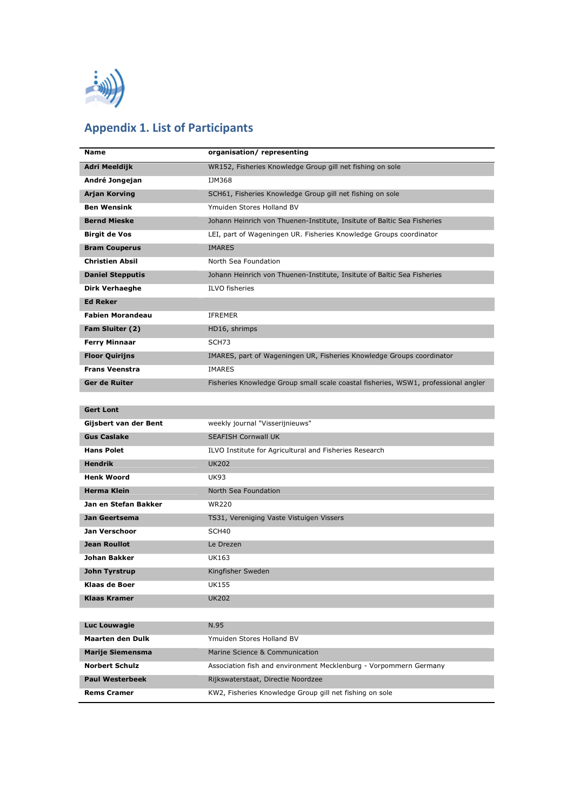

# **Appendix 1. List of Participants**

| Name                    | organisation/representing                                                          |
|-------------------------|------------------------------------------------------------------------------------|
| Adri Meeldijk           | WR152, Fisheries Knowledge Group gill net fishing on sole                          |
| André Jongejan          | IJM368                                                                             |
| <b>Arjan Korving</b>    | SCH61, Fisheries Knowledge Group gill net fishing on sole                          |
| <b>Ben Wensink</b>      | Ymuiden Stores Holland BV                                                          |
| <b>Bernd Mieske</b>     | Johann Heinrich von Thuenen-Institute, Insitute of Baltic Sea Fisheries            |
| <b>Birgit de Vos</b>    | LEI, part of Wageningen UR. Fisheries Knowledge Groups coordinator                 |
| <b>Bram Couperus</b>    | <b>IMARES</b>                                                                      |
| <b>Christien Absil</b>  | North Sea Foundation                                                               |
| <b>Daniel Stepputis</b> | Johann Heinrich von Thuenen-Institute, Insitute of Baltic Sea Fisheries            |
| Dirk Verhaeghe          | <b>ILVO</b> fisheries                                                              |
| <b>Ed Reker</b>         |                                                                                    |
| <b>Fabien Morandeau</b> | <b>IFREMER</b>                                                                     |
| Fam Sluiter (2)         | HD16, shrimps                                                                      |
| <b>Ferry Minnaar</b>    | SCH <sub>73</sub>                                                                  |
| <b>Floor Quirijns</b>   | IMARES, part of Wageningen UR, Fisheries Knowledge Groups coordinator              |
| <b>Frans Veenstra</b>   | <b>IMARES</b>                                                                      |
| Ger de Ruiter           | Fisheries Knowledge Group small scale coastal fisheries, WSW1, professional angler |
|                         |                                                                                    |
| <b>Gert Lont</b>        |                                                                                    |
| Gijsbert van der Bent   | weekly journal "Visserijnieuws"                                                    |
| <b>Gus Caslake</b>      | <b>SEAFISH Cornwall UK</b>                                                         |
| <b>Hans Polet</b>       | ILVO Institute for Agricultural and Fisheries Research                             |
| <b>Hendrik</b>          | <b>UK202</b>                                                                       |
| <b>Henk Woord</b>       | <b>UK93</b>                                                                        |
| <b>Herma Klein</b>      | North Sea Foundation                                                               |
| Jan en Stefan Bakker    | <b>WR220</b>                                                                       |
| Jan Geertsema           | TS31, Vereniging Vaste Vistuigen Vissers                                           |
| Jan Verschoor           | SCH40                                                                              |
| <b>Jean Roullot</b>     | Le Drezen                                                                          |
| Johan Bakker            | <b>UK163</b>                                                                       |
| John Tyrstrup           | Kingfisher Sweden                                                                  |
| Klaas de Boer           | <b>UK155</b>                                                                       |
| Klaas Kramer            | <b>UK202</b>                                                                       |
|                         |                                                                                    |
| Luc Louwagie            | N.95                                                                               |
| <b>Maarten den Dulk</b> | Ymuiden Stores Holland BV                                                          |
| <b>Marije Siemensma</b> | Marine Science & Communication                                                     |
| <b>Norbert Schulz</b>   | Association fish and environment Mecklenburg - Vorpommern Germany                  |
| <b>Paul Westerbeek</b>  | Rijkswaterstaat, Directie Noordzee                                                 |
| <b>Rems Cramer</b>      | KW2, Fisheries Knowledge Group gill net fishing on sole                            |